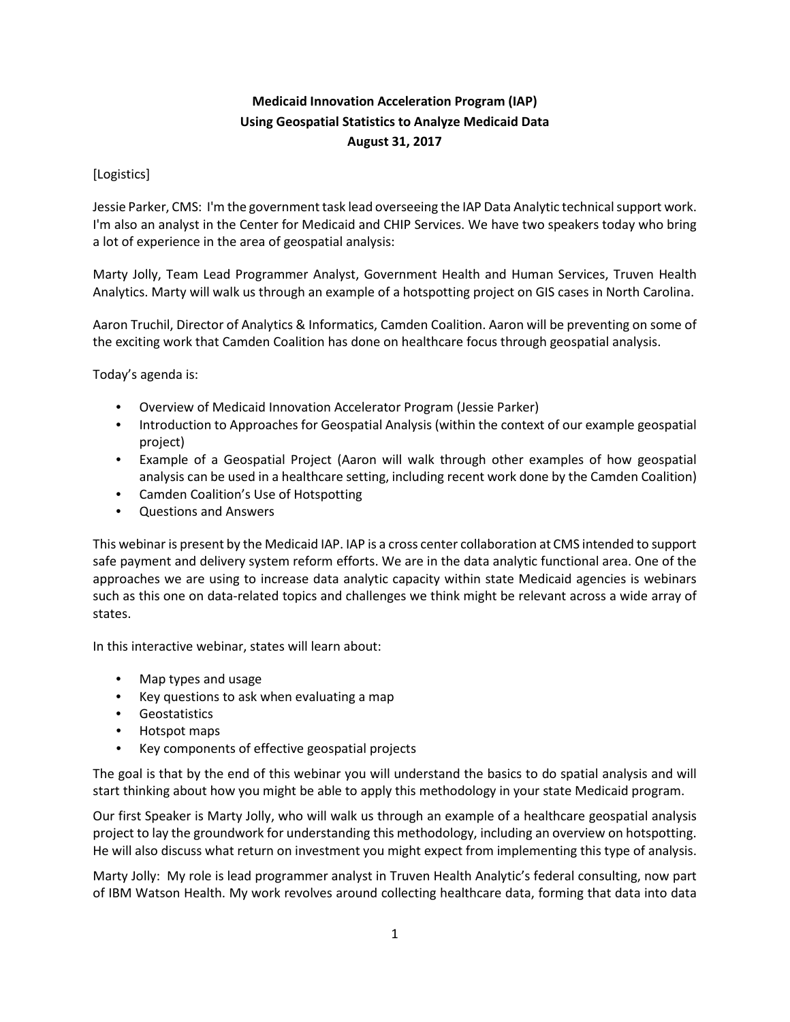## **Medicaid Innovation Acceleration Program (IAP) Using Geospatial Statistics to Analyze Medicaid Data August 31, 2017**

## [Logistics]

Jessie Parker, CMS: I'm the government task lead overseeing the IAP Data Analytic technical support work. I'm also an analyst in the Center for Medicaid and CHIP Services. We have two speakers today who bring a lot of experience in the area of geospatial analysis:

Marty Jolly, Team Lead Programmer Analyst, Government Health and Human Services, Truven Health Analytics. Marty will walk us through an example of a hotspotting project on GIS cases in North Carolina.

Aaron Truchil, Director of Analytics & Informatics, Camden Coalition. Aaron will be preventing on some of the exciting work that Camden Coalition has done on healthcare focus through geospatial analysis.

Today's agenda is:

- Overview of Medicaid Innovation Accelerator Program (Jessie Parker)
- Introduction to Approaches for Geospatial Analysis (within the context of our example geospatial project)
- Example of a Geospatial Project (Aaron will walk through other examples of how geospatial analysis can be used in a healthcare setting, including recent work done by the Camden Coalition)
- Camden Coalition's Use of Hotspotting
- Questions and Answers

This webinar is present by the Medicaid IAP. IAP is a cross center collaboration at CMS intended to support safe payment and delivery system reform efforts. We are in the data analytic functional area. One of the approaches we are using to increase data analytic capacity within state Medicaid agencies is webinars such as this one on data-related topics and challenges we think might be relevant across a wide array of states.

In this interactive webinar, states will learn about:

- Map types and usage
- Key questions to ask when evaluating a map
- Geostatistics
- Hotspot maps
- Key components of effective geospatial projects

The goal is that by the end of this webinar you will understand the basics to do spatial analysis and will start thinking about how you might be able to apply this methodology in your state Medicaid program.

Our first Speaker is Marty Jolly, who will walk us through an example of a healthcare geospatial analysis project to lay the groundwork for understanding this methodology, including an overview on hotspotting. He will also discuss what return on investment you might expect from implementing this type of analysis.

Marty Jolly: My role is lead programmer analyst in Truven Health Analytic's federal consulting, now part of IBM Watson Health. My work revolves around collecting healthcare data, forming that data into data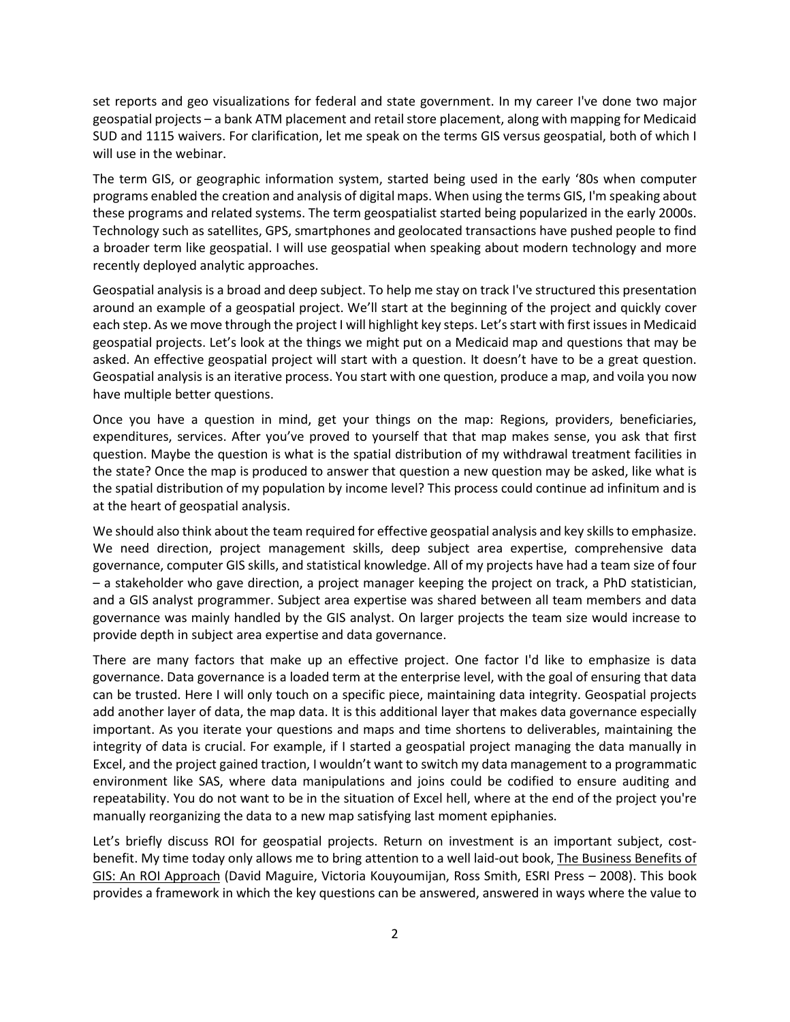set reports and geo visualizations for federal and state government. In my career I've done two major geospatial projects – a bank ATM placement and retail store placement, along with mapping for Medicaid SUD and 1115 waivers. For clarification, let me speak on the terms GIS versus geospatial, both of which I will use in the webinar.

The term GIS, or geographic information system, started being used in the early '80s when computer programs enabled the creation and analysis of digital maps. When using the terms GIS, I'm speaking about these programs and related systems. The term geospatialist started being popularized in the early 2000s. Technology such as satellites, GPS, smartphones and geolocated transactions have pushed people to find a broader term like geospatial. I will use geospatial when speaking about modern technology and more recently deployed analytic approaches.

Geospatial analysis is a broad and deep subject. To help me stay on track I've structured this presentation around an example of a geospatial project. We'll start at the beginning of the project and quickly cover each step. As we move through the project I will highlight key steps. Let's start with first issues in Medicaid geospatial projects. Let's look at the things we might put on a Medicaid map and questions that may be asked. An effective geospatial project will start with a question. It doesn't have to be a great question. Geospatial analysis is an iterative process. You start with one question, produce a map, and voila you now have multiple better questions.

Once you have a question in mind, get your things on the map: Regions, providers, beneficiaries, expenditures, services. After you've proved to yourself that that map makes sense, you ask that first question. Maybe the question is what is the spatial distribution of my withdrawal treatment facilities in the state? Once the map is produced to answer that question a new question may be asked, like what is the spatial distribution of my population by income level? This process could continue ad infinitum and is at the heart of geospatial analysis.

We should also think about the team required for effective geospatial analysis and key skills to emphasize. We need direction, project management skills, deep subject area expertise, comprehensive data governance, computer GIS skills, and statistical knowledge. All of my projects have had a team size of four – a stakeholder who gave direction, a project manager keeping the project on track, a PhD statistician, and a GIS analyst programmer. Subject area expertise was shared between all team members and data governance was mainly handled by the GIS analyst. On larger projects the team size would increase to provide depth in subject area expertise and data governance.

There are many factors that make up an effective project. One factor I'd like to emphasize is data governance. Data governance is a loaded term at the enterprise level, with the goal of ensuring that data can be trusted. Here I will only touch on a specific piece, maintaining data integrity. Geospatial projects add another layer of data, the map data. It is this additional layer that makes data governance especially important. As you iterate your questions and maps and time shortens to deliverables, maintaining the integrity of data is crucial. For example, if I started a geospatial project managing the data manually in Excel, and the project gained traction, I wouldn't want to switch my data management to a programmatic environment like SAS, where data manipulations and joins could be codified to ensure auditing and repeatability. You do not want to be in the situation of Excel hell, where at the end of the project you're manually reorganizing the data to a new map satisfying last moment epiphanies.

Let's briefly discuss ROI for geospatial projects. Return on investment is an important subject, costbenefit. My time today only allows me to bring attention to a well laid-out book, The Business Benefits of GIS: An ROI Approach (David Maguire, Victoria Kouyoumijan, Ross Smith, ESRI Press – 2008). This book provides a framework in which the key questions can be answered, answered in ways where the value to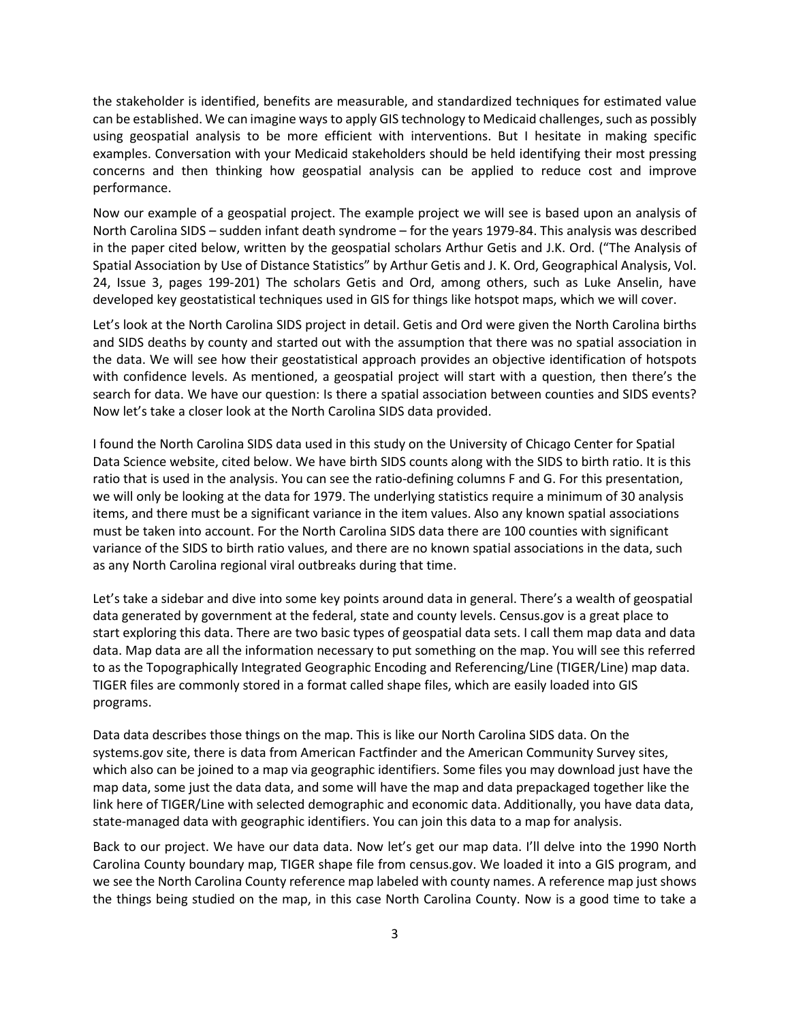the stakeholder is identified, benefits are measurable, and standardized techniques for estimated value can be established. We can imagine ways to apply GIS technology to Medicaid challenges, such as possibly using geospatial analysis to be more efficient with interventions. But I hesitate in making specific examples. Conversation with your Medicaid stakeholders should be held identifying their most pressing concerns and then thinking how geospatial analysis can be applied to reduce cost and improve performance.

Now our example of a geospatial project. The example project we will see is based upon an analysis of North Carolina SIDS – sudden infant death syndrome – for the years 1979-84. This analysis was described in the paper cited below, written by the geospatial scholars Arthur Getis and J.K. Ord. ("The Analysis of Spatial Association by Use of Distance Statistics" by Arthur Getis and J. K. Ord, Geographical Analysis, Vol. 24, Issue 3, pages 199-201) The scholars Getis and Ord, among others, such as Luke Anselin, have developed key geostatistical techniques used in GIS for things like hotspot maps, which we will cover.

Let's look at the North Carolina SIDS project in detail. Getis and Ord were given the North Carolina births and SIDS deaths by county and started out with the assumption that there was no spatial association in the data. We will see how their geostatistical approach provides an objective identification of hotspots with confidence levels. As mentioned, a geospatial project will start with a question, then there's the search for data. We have our question: Is there a spatial association between counties and SIDS events? Now let's take a closer look at the North Carolina SIDS data provided.

I found the North Carolina SIDS data used in this study on the University of Chicago Center for Spatial Data Science website, cited below. We have birth SIDS counts along with the SIDS to birth ratio. It is this ratio that is used in the analysis. You can see the ratio-defining columns F and G. For this presentation, we will only be looking at the data for 1979. The underlying statistics require a minimum of 30 analysis items, and there must be a significant variance in the item values. Also any known spatial associations must be taken into account. For the North Carolina SIDS data there are 100 counties with significant variance of the SIDS to birth ratio values, and there are no known spatial associations in the data, such as any North Carolina regional viral outbreaks during that time.

Let's take a sidebar and dive into some key points around data in general. There's a wealth of geospatial data generated by government at the federal, state and county levels. Census.gov is a great place to start exploring this data. There are two basic types of geospatial data sets. I call them map data and data data. Map data are all the information necessary to put something on the map. You will see this referred to as the Topographically Integrated Geographic Encoding and Referencing/Line (TIGER/Line) map data. TIGER files are commonly stored in a format called shape files, which are easily loaded into GIS programs.

Data data describes those things on the map. This is like our North Carolina SIDS data. On the systems.gov site, there is data from American Factfinder and the American Community Survey sites, which also can be joined to a map via geographic identifiers. Some files you may download just have the map data, some just the data data, and some will have the map and data prepackaged together like the link here of TIGER/Line with selected demographic and economic data. Additionally, you have data data, state-managed data with geographic identifiers. You can join this data to a map for analysis.

Back to our project. We have our data data. Now let's get our map data. I'll delve into the 1990 North Carolina County boundary map, TIGER shape file from census.gov. We loaded it into a GIS program, and we see the North Carolina County reference map labeled with county names. A reference map just shows the things being studied on the map, in this case North Carolina County. Now is a good time to take a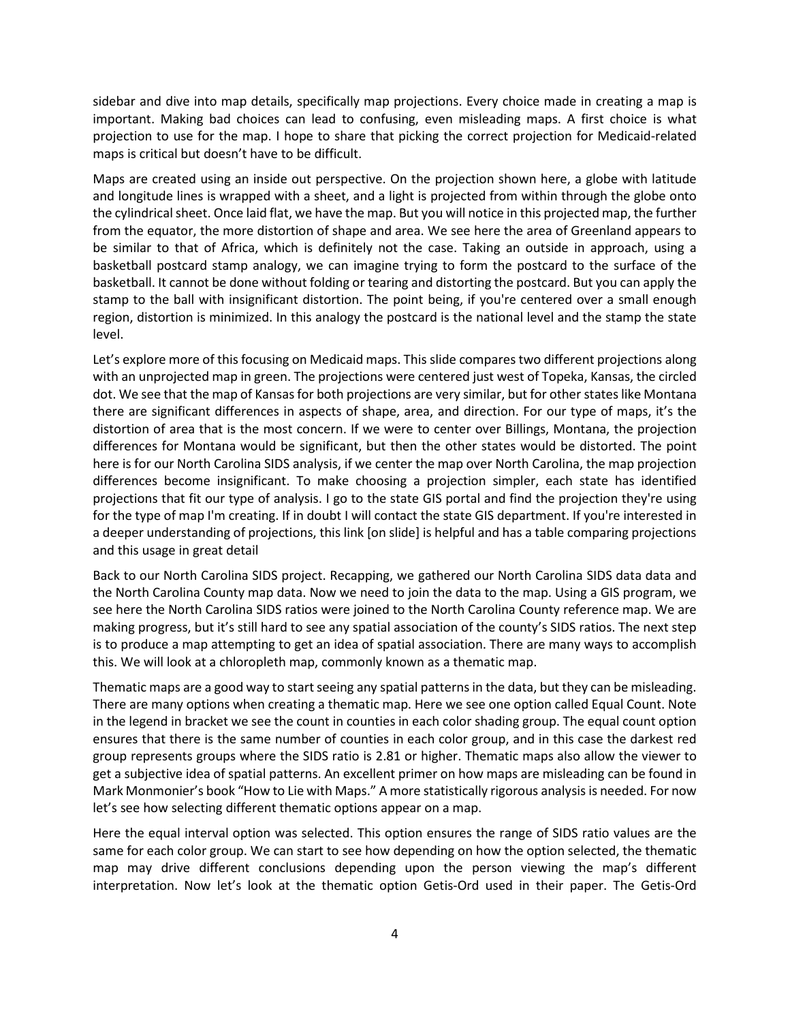sidebar and dive into map details, specifically map projections. Every choice made in creating a map is important. Making bad choices can lead to confusing, even misleading maps. A first choice is what projection to use for the map. I hope to share that picking the correct projection for Medicaid-related maps is critical but doesn't have to be difficult.

Maps are created using an inside out perspective. On the projection shown here, a globe with latitude and longitude lines is wrapped with a sheet, and a light is projected from within through the globe onto the cylindrical sheet. Once laid flat, we have the map. But you will notice in this projected map, the further from the equator, the more distortion of shape and area. We see here the area of Greenland appears to be similar to that of Africa, which is definitely not the case. Taking an outside in approach, using a basketball postcard stamp analogy, we can imagine trying to form the postcard to the surface of the basketball. It cannot be done without folding or tearing and distorting the postcard. But you can apply the stamp to the ball with insignificant distortion. The point being, if you're centered over a small enough region, distortion is minimized. In this analogy the postcard is the national level and the stamp the state level.

Let's explore more of this focusing on Medicaid maps. This slide compares two different projections along with an unprojected map in green. The projections were centered just west of Topeka, Kansas, the circled dot. We see that the map of Kansas for both projections are very similar, but for other states like Montana there are significant differences in aspects of shape, area, and direction. For our type of maps, it's the distortion of area that is the most concern. If we were to center over Billings, Montana, the projection differences for Montana would be significant, but then the other states would be distorted. The point here is for our North Carolina SIDS analysis, if we center the map over North Carolina, the map projection differences become insignificant. To make choosing a projection simpler, each state has identified projections that fit our type of analysis. I go to the state GIS portal and find the projection they're using for the type of map I'm creating. If in doubt I will contact the state GIS department. If you're interested in a deeper understanding of projections, this link [on slide] is helpful and has a table comparing projections and this usage in great detail

Back to our North Carolina SIDS project. Recapping, we gathered our North Carolina SIDS data data and the North Carolina County map data. Now we need to join the data to the map. Using a GIS program, we see here the North Carolina SIDS ratios were joined to the North Carolina County reference map. We are making progress, but it's still hard to see any spatial association of the county's SIDS ratios. The next step is to produce a map attempting to get an idea of spatial association. There are many ways to accomplish this. We will look at a chloropleth map, commonly known as a thematic map.

Thematic maps are a good way to start seeing any spatial patterns in the data, but they can be misleading. There are many options when creating a thematic map. Here we see one option called Equal Count. Note in the legend in bracket we see the count in counties in each color shading group. The equal count option ensures that there is the same number of counties in each color group, and in this case the darkest red group represents groups where the SIDS ratio is 2.81 or higher. Thematic maps also allow the viewer to get a subjective idea of spatial patterns. An excellent primer on how maps are misleading can be found in Mark Monmonier's book "How to Lie with Maps." A more statistically rigorous analysis is needed. For now let's see how selecting different thematic options appear on a map.

Here the equal interval option was selected. This option ensures the range of SIDS ratio values are the same for each color group. We can start to see how depending on how the option selected, the thematic map may drive different conclusions depending upon the person viewing the map's different interpretation. Now let's look at the thematic option Getis-Ord used in their paper. The Getis-Ord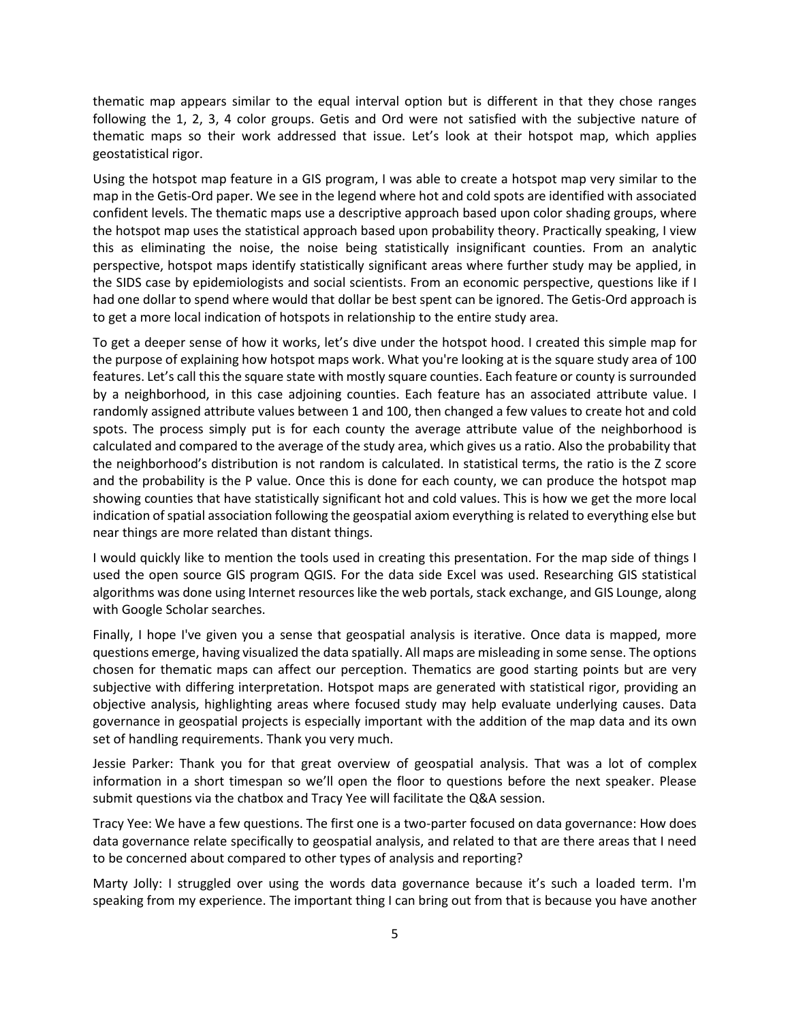thematic map appears similar to the equal interval option but is different in that they chose ranges following the 1, 2, 3, 4 color groups. Getis and Ord were not satisfied with the subjective nature of thematic maps so their work addressed that issue. Let's look at their hotspot map, which applies geostatistical rigor.

Using the hotspot map feature in a GIS program, I was able to create a hotspot map very similar to the map in the Getis-Ord paper. We see in the legend where hot and cold spots are identified with associated confident levels. The thematic maps use a descriptive approach based upon color shading groups, where the hotspot map uses the statistical approach based upon probability theory. Practically speaking, I view this as eliminating the noise, the noise being statistically insignificant counties. From an analytic perspective, hotspot maps identify statistically significant areas where further study may be applied, in the SIDS case by epidemiologists and social scientists. From an economic perspective, questions like if I had one dollar to spend where would that dollar be best spent can be ignored. The Getis-Ord approach is to get a more local indication of hotspots in relationship to the entire study area.

To get a deeper sense of how it works, let's dive under the hotspot hood. I created this simple map for the purpose of explaining how hotspot maps work. What you're looking at is the square study area of 100 features. Let's call this the square state with mostly square counties. Each feature or county is surrounded by a neighborhood, in this case adjoining counties. Each feature has an associated attribute value. I randomly assigned attribute values between 1 and 100, then changed a few values to create hot and cold spots. The process simply put is for each county the average attribute value of the neighborhood is calculated and compared to the average of the study area, which gives us a ratio. Also the probability that the neighborhood's distribution is not random is calculated. In statistical terms, the ratio is the Z score and the probability is the P value. Once this is done for each county, we can produce the hotspot map showing counties that have statistically significant hot and cold values. This is how we get the more local indication of spatial association following the geospatial axiom everything is related to everything else but near things are more related than distant things.

I would quickly like to mention the tools used in creating this presentation. For the map side of things I used the open source GIS program QGIS. For the data side Excel was used. Researching GIS statistical algorithms was done using Internet resources like the web portals, stack exchange, and GIS Lounge, along with Google Scholar searches.

Finally, I hope I've given you a sense that geospatial analysis is iterative. Once data is mapped, more questions emerge, having visualized the data spatially. All maps are misleading in some sense. The options chosen for thematic maps can affect our perception. Thematics are good starting points but are very subjective with differing interpretation. Hotspot maps are generated with statistical rigor, providing an objective analysis, highlighting areas where focused study may help evaluate underlying causes. Data governance in geospatial projects is especially important with the addition of the map data and its own set of handling requirements. Thank you very much.

Jessie Parker: Thank you for that great overview of geospatial analysis. That was a lot of complex information in a short timespan so we'll open the floor to questions before the next speaker. Please submit questions via the chatbox and Tracy Yee will facilitate the Q&A session.

Tracy Yee: We have a few questions. The first one is a two-parter focused on data governance: How does data governance relate specifically to geospatial analysis, and related to that are there areas that I need to be concerned about compared to other types of analysis and reporting?

Marty Jolly: I struggled over using the words data governance because it's such a loaded term. I'm speaking from my experience. The important thing I can bring out from that is because you have another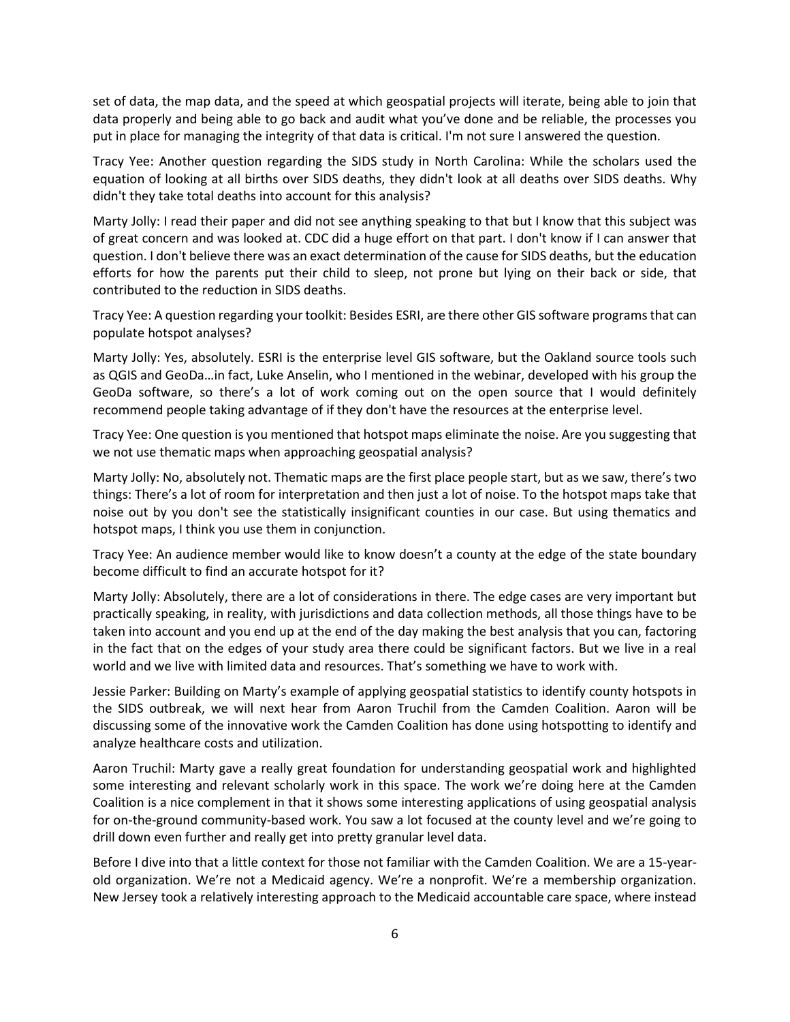set of data, the map data, and the speed at which geospatial projects will iterate, being able to join that data properly and being able to go back and audit what you've done and be reliable, the processes you put in place for managing the integrity of that data is critical. I'm not sure I answered the question.

Tracy Yee: Another question regarding the SIDS study in North Carolina: While the scholars used the equation of looking at all births over SIDS deaths, they didn't look at all deaths over SIDS deaths. Why didn't they take total deaths into account for this analysis?

Marty Jolly: I read their paper and did not see anything speaking to that but I know that this subject was of great concern and was looked at. CDC did a huge effort on that part. I don't know if I can answer that question. I don't believe there was an exact determination of the cause for SIDS deaths, but the education efforts for how the parents put their child to sleep, not prone but lying on their back or side, that contributed to the reduction in SIDS deaths.

Tracy Yee: A question regarding your toolkit: Besides ESRI, are there other GIS software programs that can populate hotspot analyses?

Marty Jolly: Yes, absolutely. ESRI is the enterprise level GIS software, but the Oakland source tools such as QGIS and GeoDa…in fact, Luke Anselin, who I mentioned in the webinar, developed with his group the GeoDa software, so there's a lot of work coming out on the open source that I would definitely recommend people taking advantage of if they don't have the resources at the enterprise level.

Tracy Yee: One question is you mentioned that hotspot maps eliminate the noise. Are you suggesting that we not use thematic maps when approaching geospatial analysis?

Marty Jolly: No, absolutely not. Thematic maps are the first place people start, but as we saw, there's two things: There's a lot of room for interpretation and then just a lot of noise. To the hotspot maps take that noise out by you don't see the statistically insignificant counties in our case. But using thematics and hotspot maps, I think you use them in conjunction.

Tracy Yee: An audience member would like to know doesn't a county at the edge of the state boundary become difficult to find an accurate hotspot for it?

Marty Jolly: Absolutely, there are a lot of considerations in there. The edge cases are very important but practically speaking, in reality, with jurisdictions and data collection methods, all those things have to be taken into account and you end up at the end of the day making the best analysis that you can, factoring in the fact that on the edges of your study area there could be significant factors. But we live in a real world and we live with limited data and resources. That's something we have to work with.

Jessie Parker: Building on Marty's example of applying geospatial statistics to identify county hotspots in the SIDS outbreak, we will next hear from Aaron Truchil from the Camden Coalition. Aaron will be discussing some of the innovative work the Camden Coalition has done using hotspotting to identify and analyze healthcare costs and utilization.

Aaron Truchil: Marty gave a really great foundation for understanding geospatial work and highlighted some interesting and relevant scholarly work in this space. The work we're doing here at the Camden Coalition is a nice complement in that it shows some interesting applications of using geospatial analysis for on-the-ground community-based work. You saw a lot focused at the county level and we're going to drill down even further and really get into pretty granular level data.

Before I dive into that a little context for those not familiar with the Camden Coalition. We are a 15-yearold organization. We're not a Medicaid agency. We're a nonprofit. We're a membership organization. New Jersey took a relatively interesting approach to the Medicaid accountable care space, where instead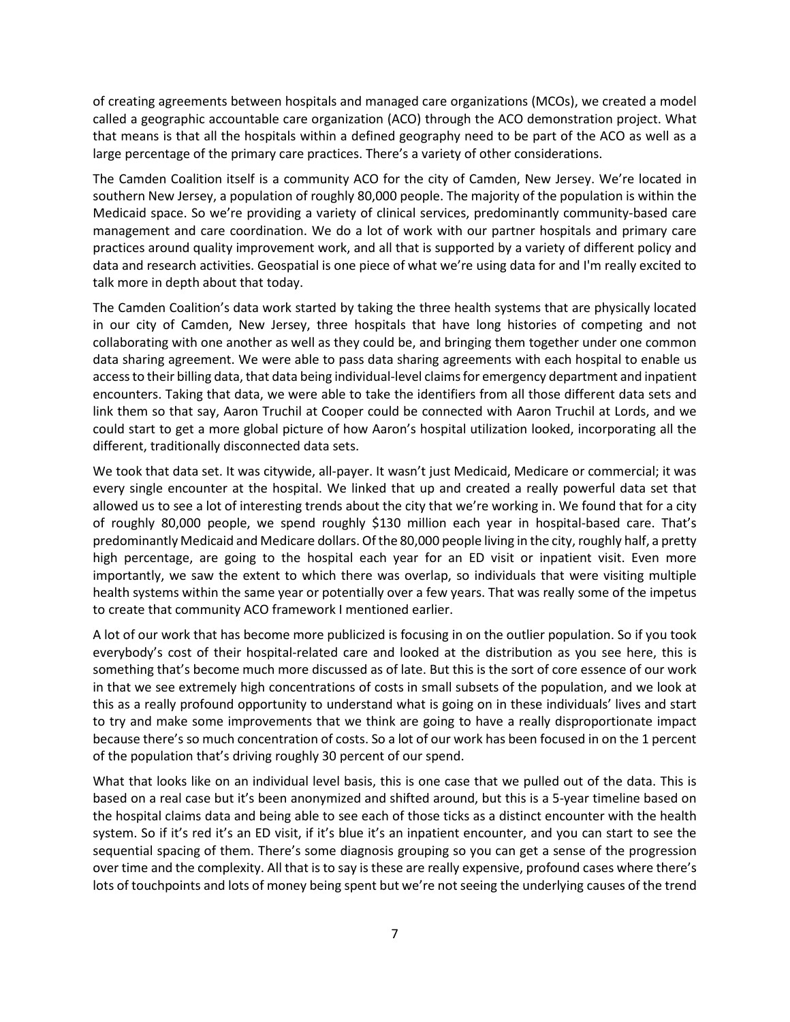of creating agreements between hospitals and managed care organizations (MCOs), we created a model called a geographic accountable care organization (ACO) through the ACO demonstration project. What that means is that all the hospitals within a defined geography need to be part of the ACO as well as a large percentage of the primary care practices. There's a variety of other considerations.

The Camden Coalition itself is a community ACO for the city of Camden, New Jersey. We're located in southern New Jersey, a population of roughly 80,000 people. The majority of the population is within the Medicaid space. So we're providing a variety of clinical services, predominantly community-based care management and care coordination. We do a lot of work with our partner hospitals and primary care practices around quality improvement work, and all that is supported by a variety of different policy and data and research activities. Geospatial is one piece of what we're using data for and I'm really excited to talk more in depth about that today.

The Camden Coalition's data work started by taking the three health systems that are physically located in our city of Camden, New Jersey, three hospitals that have long histories of competing and not collaborating with one another as well as they could be, and bringing them together under one common data sharing agreement. We were able to pass data sharing agreements with each hospital to enable us access to their billing data, that data being individual-level claims for emergency department and inpatient encounters. Taking that data, we were able to take the identifiers from all those different data sets and link them so that say, Aaron Truchil at Cooper could be connected with Aaron Truchil at Lords, and we could start to get a more global picture of how Aaron's hospital utilization looked, incorporating all the different, traditionally disconnected data sets.

We took that data set. It was citywide, all-payer. It wasn't just Medicaid, Medicare or commercial; it was every single encounter at the hospital. We linked that up and created a really powerful data set that allowed us to see a lot of interesting trends about the city that we're working in. We found that for a city of roughly 80,000 people, we spend roughly \$130 million each year in hospital-based care. That's predominantly Medicaid and Medicare dollars. Of the 80,000 people living in the city, roughly half, a pretty high percentage, are going to the hospital each year for an ED visit or inpatient visit. Even more importantly, we saw the extent to which there was overlap, so individuals that were visiting multiple health systems within the same year or potentially over a few years. That was really some of the impetus to create that community ACO framework I mentioned earlier.

A lot of our work that has become more publicized is focusing in on the outlier population. So if you took everybody's cost of their hospital-related care and looked at the distribution as you see here, this is something that's become much more discussed as of late. But this is the sort of core essence of our work in that we see extremely high concentrations of costs in small subsets of the population, and we look at this as a really profound opportunity to understand what is going on in these individuals' lives and start to try and make some improvements that we think are going to have a really disproportionate impact because there's so much concentration of costs. So a lot of our work has been focused in on the 1 percent of the population that's driving roughly 30 percent of our spend.

What that looks like on an individual level basis, this is one case that we pulled out of the data. This is based on a real case but it's been anonymized and shifted around, but this is a 5-year timeline based on the hospital claims data and being able to see each of those ticks as a distinct encounter with the health system. So if it's red it's an ED visit, if it's blue it's an inpatient encounter, and you can start to see the sequential spacing of them. There's some diagnosis grouping so you can get a sense of the progression over time and the complexity. All that is to say is these are really expensive, profound cases where there's lots of touchpoints and lots of money being spent but we're not seeing the underlying causes of the trend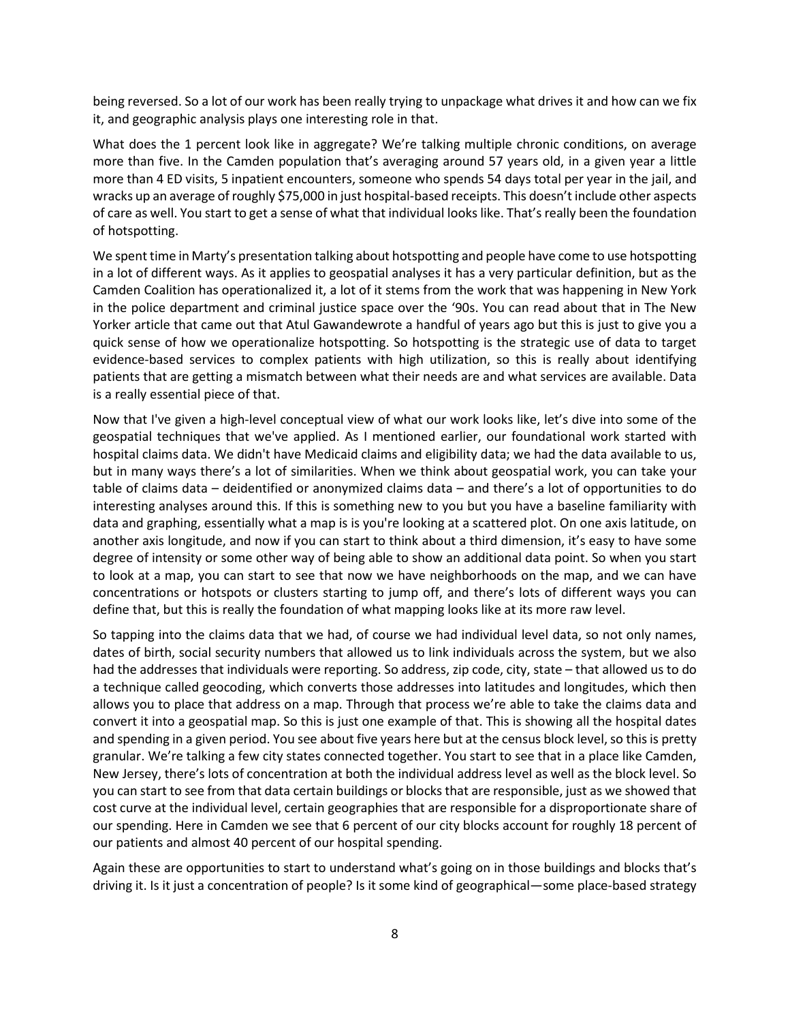being reversed. So a lot of our work has been really trying to unpackage what drives it and how can we fix it, and geographic analysis plays one interesting role in that.

What does the 1 percent look like in aggregate? We're talking multiple chronic conditions, on average more than five. In the Camden population that's averaging around 57 years old, in a given year a little more than 4 ED visits, 5 inpatient encounters, someone who spends 54 days total per year in the jail, and wracks up an average of roughly \$75,000 in just hospital-based receipts. This doesn't include other aspects of care as well. You start to get a sense of what that individual looks like. That's really been the foundation of hotspotting.

We spent time in Marty's presentation talking about hotspotting and people have come to use hotspotting in a lot of different ways. As it applies to geospatial analyses it has a very particular definition, but as the Camden Coalition has operationalized it, a lot of it stems from the work that was happening in New York in the police department and criminal justice space over the '90s. You can read about that in The New Yorker article that came out that Atul Gawandewrote a handful of years ago but this is just to give you a quick sense of how we operationalize hotspotting. So hotspotting is the strategic use of data to target evidence-based services to complex patients with high utilization, so this is really about identifying patients that are getting a mismatch between what their needs are and what services are available. Data is a really essential piece of that.

Now that I've given a high-level conceptual view of what our work looks like, let's dive into some of the geospatial techniques that we've applied. As I mentioned earlier, our foundational work started with hospital claims data. We didn't have Medicaid claims and eligibility data; we had the data available to us, but in many ways there's a lot of similarities. When we think about geospatial work, you can take your table of claims data – deidentified or anonymized claims data – and there's a lot of opportunities to do interesting analyses around this. If this is something new to you but you have a baseline familiarity with data and graphing, essentially what a map is is you're looking at a scattered plot. On one axis latitude, on another axis longitude, and now if you can start to think about a third dimension, it's easy to have some degree of intensity or some other way of being able to show an additional data point. So when you start to look at a map, you can start to see that now we have neighborhoods on the map, and we can have concentrations or hotspots or clusters starting to jump off, and there's lots of different ways you can define that, but this is really the foundation of what mapping looks like at its more raw level.

So tapping into the claims data that we had, of course we had individual level data, so not only names, dates of birth, social security numbers that allowed us to link individuals across the system, but we also had the addresses that individuals were reporting. So address, zip code, city, state – that allowed us to do a technique called geocoding, which converts those addresses into latitudes and longitudes, which then allows you to place that address on a map. Through that process we're able to take the claims data and convert it into a geospatial map. So this is just one example of that. This is showing all the hospital dates and spending in a given period. You see about five years here but at the census block level, so this is pretty granular. We're talking a few city states connected together. You start to see that in a place like Camden, New Jersey, there's lots of concentration at both the individual address level as well as the block level. So you can start to see from that data certain buildings or blocks that are responsible, just as we showed that cost curve at the individual level, certain geographies that are responsible for a disproportionate share of our spending. Here in Camden we see that 6 percent of our city blocks account for roughly 18 percent of our patients and almost 40 percent of our hospital spending.

Again these are opportunities to start to understand what's going on in those buildings and blocks that's driving it. Is it just a concentration of people? Is it some kind of geographical—some place-based strategy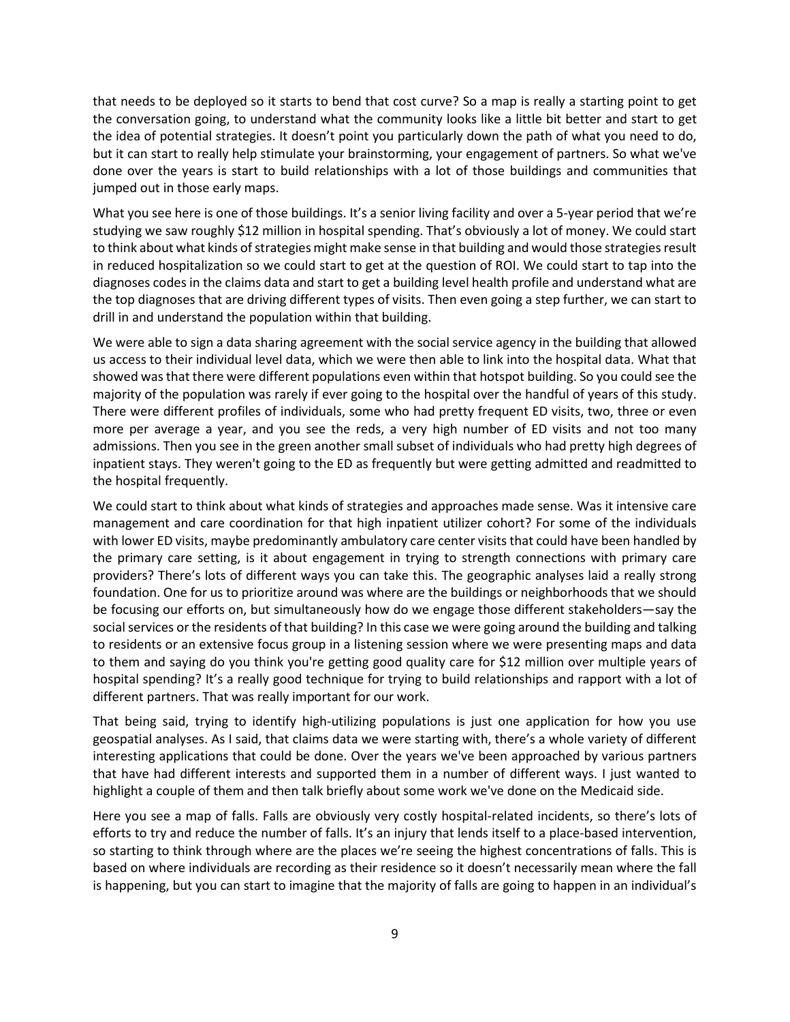that needs to be deployed so it starts to bend that cost curve? So a map is really a starting point to get the conversation going, to understand what the community looks like a little bit better and start to get the idea of potential strategies. It doesn't point you particularly down the path of what you need to do, but it can start to really help stimulate your brainstorming, your engagement of partners. So what we've done over the years is start to build relationships with a lot of those buildings and communities that jumped out in those early maps.

What you see here is one of those buildings. It's a senior living facility and over a 5-year period that we're studying we saw roughly \$12 million in hospital spending. That's obviously a lot of money. We could start to think about what kinds of strategies might make sense in that building and would those strategies result in reduced hospitalization so we could start to get at the question of ROI. We could start to tap into the diagnoses codes in the claims data and start to get a building level health profile and understand what are the top diagnoses that are driving different types of visits. Then even going a step further, we can start to drill in and understand the population within that building.

We were able to sign a data sharing agreement with the social service agency in the building that allowed us access to their individual level data, which we were then able to link into the hospital data. What that showed was that there were different populations even within that hotspot building. So you could see the majority of the population was rarely if ever going to the hospital over the handful of years of this study. There were different profiles of individuals, some who had pretty frequent ED visits, two, three or even more per average a year, and you see the reds, a very high number of ED visits and not too many admissions. Then you see in the green another small subset of individuals who had pretty high degrees of inpatient stays. They weren't going to the ED as frequently but were getting admitted and readmitted to the hospital frequently.

We could start to think about what kinds of strategies and approaches made sense. Was it intensive care management and care coordination for that high inpatient utilizer cohort? For some of the individuals with lower ED visits, maybe predominantly ambulatory care center visits that could have been handled by the primary care setting, is it about engagement in trying to strength connections with primary care providers? There's lots of different ways you can take this. The geographic analyses laid a really strong foundation. One for us to prioritize around was where are the buildings or neighborhoods that we should be focusing our efforts on, but simultaneously how do we engage those different stakeholders—say the social services or the residents of that building? In this case we were going around the building and talking to residents or an extensive focus group in a listening session where we were presenting maps and data to them and saying do you think you're getting good quality care for \$12 million over multiple years of hospital spending? It's a really good technique for trying to build relationships and rapport with a lot of different partners. That was really important for our work.

That being said, trying to identify high-utilizing populations is just one application for how you use geospatial analyses. As I said, that claims data we were starting with, there's a whole variety of different interesting applications that could be done. Over the years we've been approached by various partners that have had different interests and supported them in a number of different ways. I just wanted to highlight a couple of them and then talk briefly about some work we've done on the Medicaid side.

Here you see a map of falls. Falls are obviously very costly hospital-related incidents, so there's lots of efforts to try and reduce the number of falls. It's an injury that lends itself to a place-based intervention, so starting to think through where are the places we're seeing the highest concentrations of falls. This is based on where individuals are recording as their residence so it doesn't necessarily mean where the fall is happening, but you can start to imagine that the majority of falls are going to happen in an individual's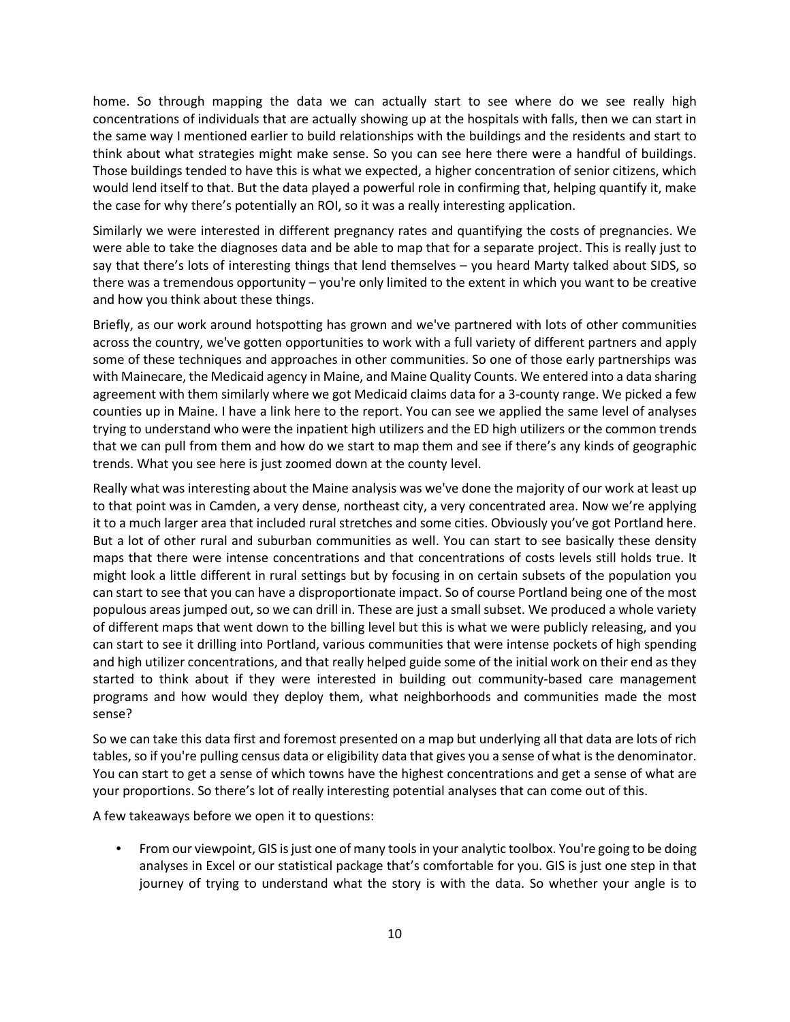home. So through mapping the data we can actually start to see where do we see really high concentrations of individuals that are actually showing up at the hospitals with falls, then we can start in the same way I mentioned earlier to build relationships with the buildings and the residents and start to think about what strategies might make sense. So you can see here there were a handful of buildings. Those buildings tended to have this is what we expected, a higher concentration of senior citizens, which would lend itself to that. But the data played a powerful role in confirming that, helping quantify it, make the case for why there's potentially an ROI, so it was a really interesting application.

Similarly we were interested in different pregnancy rates and quantifying the costs of pregnancies. We were able to take the diagnoses data and be able to map that for a separate project. This is really just to say that there's lots of interesting things that lend themselves – you heard Marty talked about SIDS, so there was a tremendous opportunity – you're only limited to the extent in which you want to be creative and how you think about these things.

Briefly, as our work around hotspotting has grown and we've partnered with lots of other communities across the country, we've gotten opportunities to work with a full variety of different partners and apply some of these techniques and approaches in other communities. So one of those early partnerships was with Mainecare, the Medicaid agency in Maine, and Maine Quality Counts. We entered into a data sharing agreement with them similarly where we got Medicaid claims data for a 3-county range. We picked a few counties up in Maine. I have a link here to the report. You can see we applied the same level of analyses trying to understand who were the inpatient high utilizers and the ED high utilizers or the common trends that we can pull from them and how do we start to map them and see if there's any kinds of geographic trends. What you see here is just zoomed down at the county level.

Really what was interesting about the Maine analysis was we've done the majority of our work at least up to that point was in Camden, a very dense, northeast city, a very concentrated area. Now we're applying it to a much larger area that included rural stretches and some cities. Obviously you've got Portland here. But a lot of other rural and suburban communities as well. You can start to see basically these density maps that there were intense concentrations and that concentrations of costs levels still holds true. It might look a little different in rural settings but by focusing in on certain subsets of the population you can start to see that you can have a disproportionate impact. So of course Portland being one of the most populous areas jumped out, so we can drill in. These are just a small subset. We produced a whole variety of different maps that went down to the billing level but this is what we were publicly releasing, and you can start to see it drilling into Portland, various communities that were intense pockets of high spending and high utilizer concentrations, and that really helped guide some of the initial work on their end as they started to think about if they were interested in building out community-based care management programs and how would they deploy them, what neighborhoods and communities made the most sense?

So we can take this data first and foremost presented on a map but underlying all that data are lots of rich tables, so if you're pulling census data or eligibility data that gives you a sense of what is the denominator. You can start to get a sense of which towns have the highest concentrations and get a sense of what are your proportions. So there's lot of really interesting potential analyses that can come out of this.

A few takeaways before we open it to questions:

• From our viewpoint, GIS is just one of many tools in your analytic toolbox. You're going to be doing analyses in Excel or our statistical package that's comfortable for you. GIS is just one step in that journey of trying to understand what the story is with the data. So whether your angle is to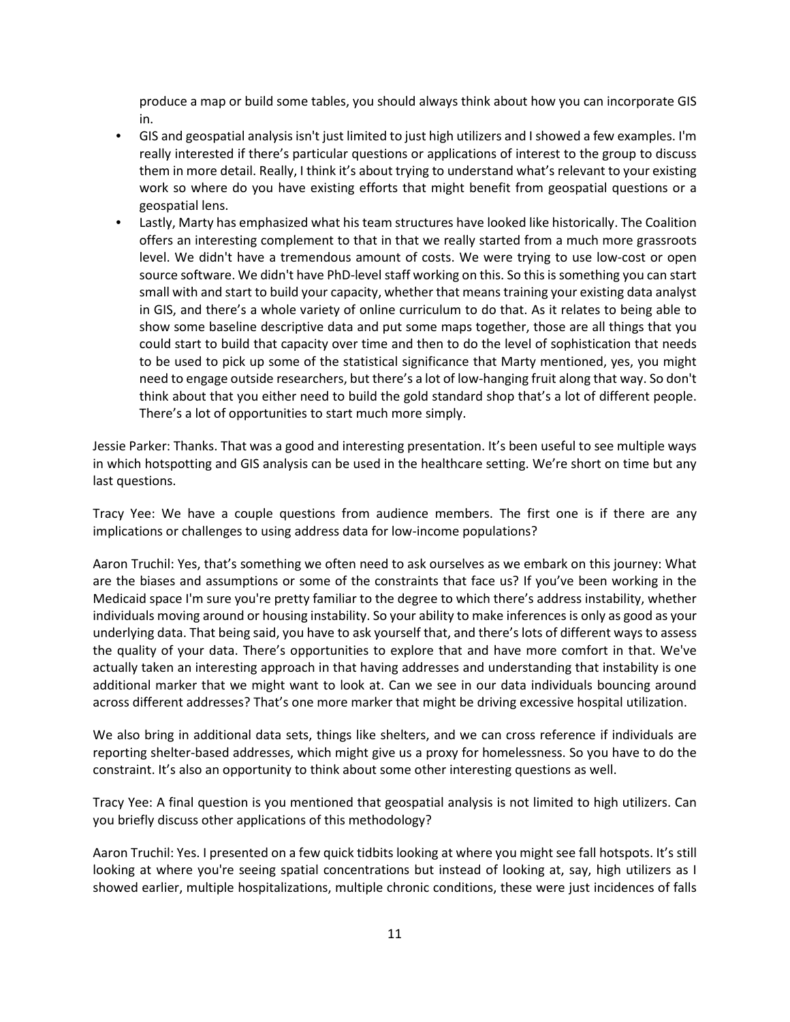produce a map or build some tables, you should always think about how you can incorporate GIS in.

- GIS and geospatial analysis isn't just limited to just high utilizers and I showed a few examples. I'm really interested if there's particular questions or applications of interest to the group to discuss them in more detail. Really, I think it's about trying to understand what's relevant to your existing work so where do you have existing efforts that might benefit from geospatial questions or a geospatial lens.
- Lastly, Marty has emphasized what his team structures have looked like historically. The Coalition offers an interesting complement to that in that we really started from a much more grassroots level. We didn't have a tremendous amount of costs. We were trying to use low-cost or open source software. We didn't have PhD-level staff working on this. So this is something you can start small with and start to build your capacity, whether that means training your existing data analyst in GIS, and there's a whole variety of online curriculum to do that. As it relates to being able to show some baseline descriptive data and put some maps together, those are all things that you could start to build that capacity over time and then to do the level of sophistication that needs to be used to pick up some of the statistical significance that Marty mentioned, yes, you might need to engage outside researchers, but there's a lot of low-hanging fruit along that way. So don't think about that you either need to build the gold standard shop that's a lot of different people. There's a lot of opportunities to start much more simply.

Jessie Parker: Thanks. That was a good and interesting presentation. It's been useful to see multiple ways in which hotspotting and GIS analysis can be used in the healthcare setting. We're short on time but any last questions.

Tracy Yee: We have a couple questions from audience members. The first one is if there are any implications or challenges to using address data for low-income populations?

Aaron Truchil: Yes, that's something we often need to ask ourselves as we embark on this journey: What are the biases and assumptions or some of the constraints that face us? If you've been working in the Medicaid space I'm sure you're pretty familiar to the degree to which there's address instability, whether individuals moving around or housing instability. So your ability to make inferences is only as good as your underlying data. That being said, you have to ask yourself that, and there's lots of different ways to assess the quality of your data. There's opportunities to explore that and have more comfort in that. We've actually taken an interesting approach in that having addresses and understanding that instability is one additional marker that we might want to look at. Can we see in our data individuals bouncing around across different addresses? That's one more marker that might be driving excessive hospital utilization.

We also bring in additional data sets, things like shelters, and we can cross reference if individuals are reporting shelter-based addresses, which might give us a proxy for homelessness. So you have to do the constraint. It's also an opportunity to think about some other interesting questions as well.

Tracy Yee: A final question is you mentioned that geospatial analysis is not limited to high utilizers. Can you briefly discuss other applications of this methodology?

Aaron Truchil: Yes. I presented on a few quick tidbits looking at where you might see fall hotspots. It's still looking at where you're seeing spatial concentrations but instead of looking at, say, high utilizers as I showed earlier, multiple hospitalizations, multiple chronic conditions, these were just incidences of falls